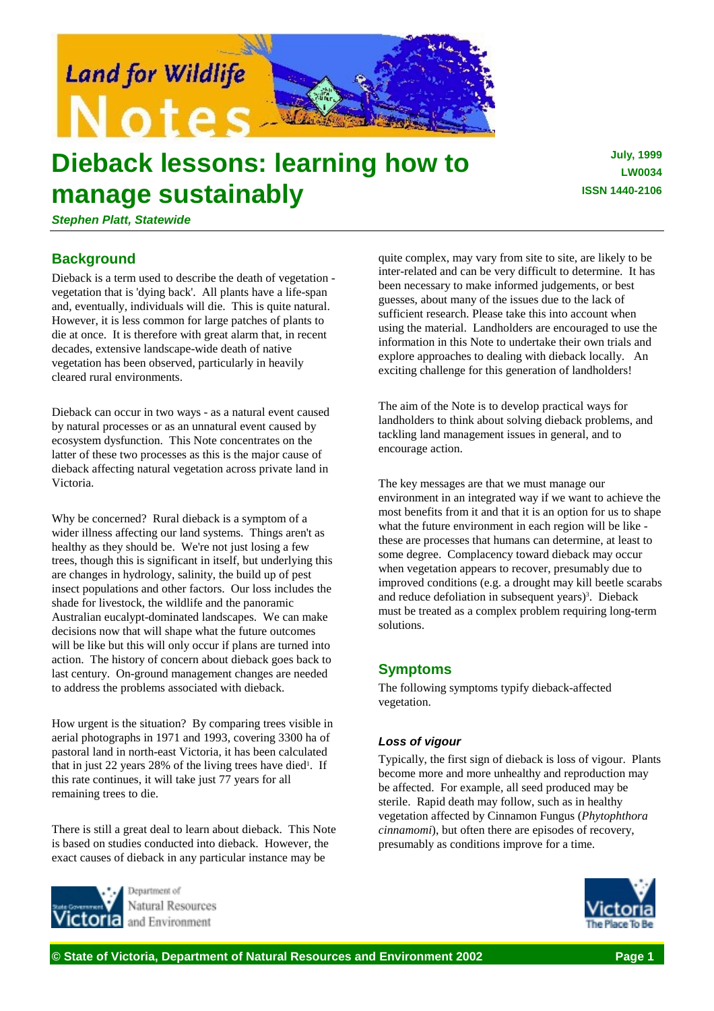

# **Dieback lessons: learning how to manage sustainably**

**July, 1999 LW0034 ISSN 1440-2106**

*Stephen Platt, Statewide*

# **Background**

Dieback is a term used to describe the death of vegetation vegetation that is 'dying back'. All plants have a life-span and, eventually, individuals will die. This is quite natural. However, it is less common for large patches of plants to die at once. It is therefore with great alarm that, in recent decades, extensive landscape-wide death of native vegetation has been observed, particularly in heavily cleared rural environments.

Dieback can occur in two ways - as a natural event caused by natural processes or as an unnatural event caused by ecosystem dysfunction. This Note concentrates on the latter of these two processes as this is the major cause of dieback affecting natural vegetation across private land in Victoria.

Why be concerned? Rural dieback is a symptom of a wider illness affecting our land systems. Things aren't as healthy as they should be. We're not just losing a few trees, though this is significant in itself, but underlying this are changes in hydrology, salinity, the build up of pest insect populations and other factors. Our loss includes the shade for livestock, the wildlife and the panoramic Australian eucalypt-dominated landscapes. We can make decisions now that will shape what the future outcomes will be like but this will only occur if plans are turned into action. The history of concern about dieback goes back to last century. On-ground management changes are needed to address the problems associated with dieback.

How urgent is the situation? By comparing trees visible in aerial photographs in 1971 and 1993, covering 3300 ha of pastoral land in north-east Victoria, it has been calculated that in just 22 years 28% of the living trees have died<sup>1</sup>. If this rate continues, it will take just 77 years for all remaining trees to die.

There is still a great deal to learn about dieback. This Note is based on studies conducted into dieback. However, the exact causes of dieback in any particular instance may be



Natural Resources and Environment

quite complex, may vary from site to site, are likely to be inter-related and can be very difficult to determine. It has been necessary to make informed judgements, or best guesses, about many of the issues due to the lack of sufficient research. Please take this into account when using the material. Landholders are encouraged to use the information in this Note to undertake their own trials and explore approaches to dealing with dieback locally. An exciting challenge for this generation of landholders!

The aim of the Note is to develop practical ways for landholders to think about solving dieback problems, and tackling land management issues in general, and to encourage action.

The key messages are that we must manage our environment in an integrated way if we want to achieve the most benefits from it and that it is an option for us to shape what the future environment in each region will be like these are processes that humans can determine, at least to some degree. Complacency toward dieback may occur when vegetation appears to recover, presumably due to improved conditions (e.g. a drought may kill beetle scarabs and reduce defoliation in subsequent years)<sup>3</sup>. Dieback must be treated as a complex problem requiring long-term solutions.

# **Symptoms**

The following symptoms typify dieback-affected vegetation.

# *Loss of vigour*

Typically, the first sign of dieback is loss of vigour. Plants become more and more unhealthy and reproduction may be affected. For example, all seed produced may be sterile. Rapid death may follow, such as in healthy vegetation affected by Cinnamon Fungus (*Phytophthora cinnamomi*), but often there are episodes of recovery, presumably as conditions improve for a time.

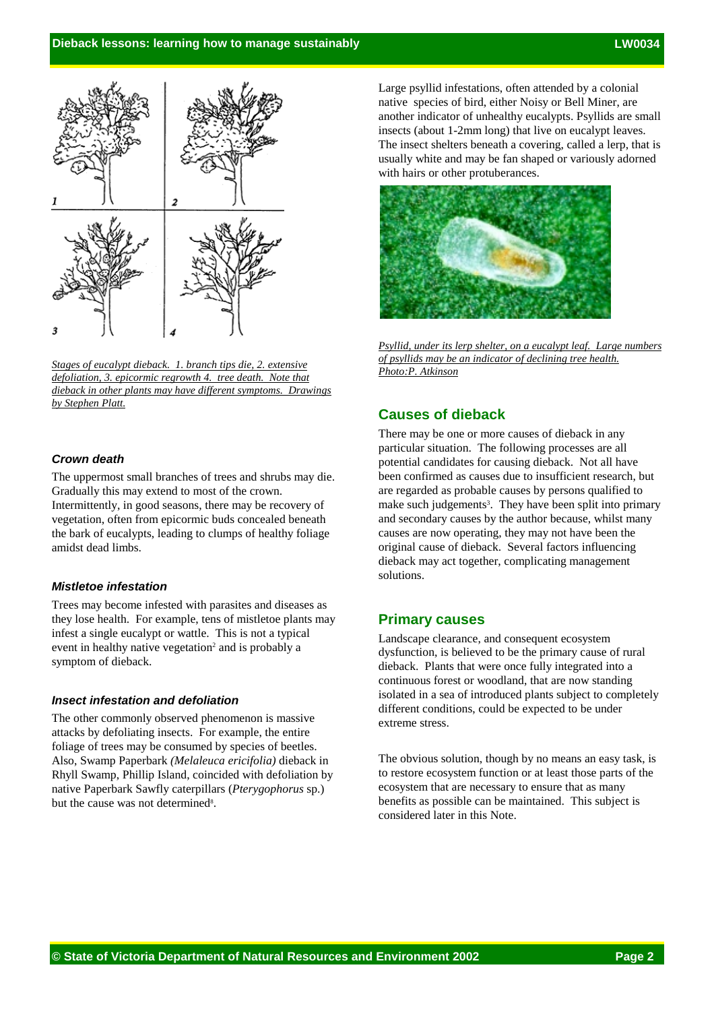

*Stages of eucalypt dieback. 1. branch tips die, 2. extensive defoliation, 3. epicormic regrowth 4. tree death. Note that dieback in other plants may have different symptoms. Drawings by Stephen Platt.*

# *Crown death*

The uppermost small branches of trees and shrubs may die. Gradually this may extend to most of the crown. Intermittently, in good seasons, there may be recovery of vegetation, often from epicormic buds concealed beneath the bark of eucalypts, leading to clumps of healthy foliage amidst dead limbs.

#### *Mistletoe infestation*

Trees may become infested with parasites and diseases as they lose health. For example, tens of mistletoe plants may infest a single eucalypt or wattle. This is not a typical event in healthy native vegetation<sup>2</sup> and is probably a symptom of dieback.

#### *Insect infestation and defoliation*

The other commonly observed phenomenon is massive attacks by defoliating insects. For example, the entire foliage of trees may be consumed by species of beetles. Also, Swamp Paperbark *(Melaleuca ericifolia)* dieback in Rhyll Swamp, Phillip Island, coincided with defoliation by native Paperbark Sawfly caterpillars (*Pterygophorus* sp.) but the cause was not determined8.

Large psyllid infestations, often attended by a colonial native species of bird, either Noisy or Bell Miner, are another indicator of unhealthy eucalypts. Psyllids are small insects (about 1-2mm long) that live on eucalypt leaves. The insect shelters beneath a covering, called a lerp, that is usually white and may be fan shaped or variously adorned with hairs or other protuberances.



*Psyllid, under its lerp shelter, on a eucalypt leaf. Large numbers of psyllids may be an indicator of declining tree health. Photo:P. Atkinson*

# **Causes of dieback**

There may be one or more causes of dieback in any particular situation. The following processes are all potential candidates for causing dieback. Not all have been confirmed as causes due to insufficient research, but are regarded as probable causes by persons qualified to make such judgements<sup>3</sup>. They have been split into primary and secondary causes by the author because, whilst many causes are now operating, they may not have been the original cause of dieback. Several factors influencing dieback may act together, complicating management solutions.

#### **Primary causes**

Landscape clearance, and consequent ecosystem dysfunction, is believed to be the primary cause of rural dieback. Plants that were once fully integrated into a continuous forest or woodland, that are now standing isolated in a sea of introduced plants subject to completely different conditions, could be expected to be under extreme stress.

The obvious solution, though by no means an easy task, is to restore ecosystem function or at least those parts of the ecosystem that are necessary to ensure that as many benefits as possible can be maintained. This subject is considered later in this Note.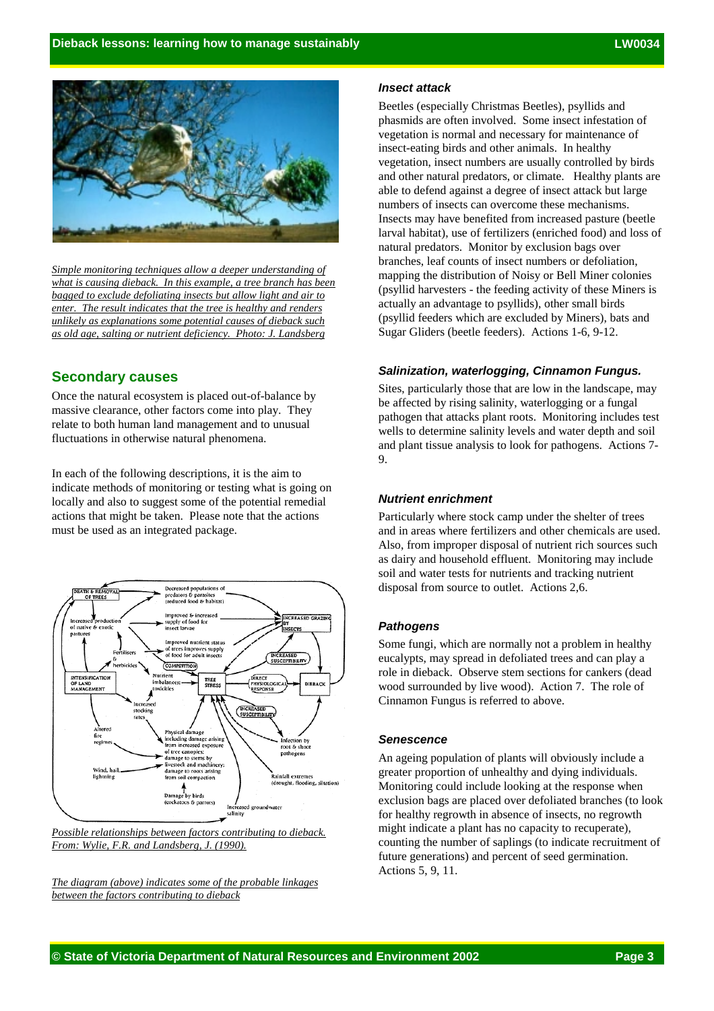

*Simple monitoring techniques allow a deeper understanding of what is causing dieback. In this example, a tree branch has been bagged to exclude defoliating insects but allow light and air to enter. The result indicates that the tree is healthy and renders unlikely as explanations some potential causes of dieback such as old age, salting or nutrient deficiency. Photo: J. Landsberg*

## **Secondary causes**

Once the natural ecosystem is placed out-of-balance by massive clearance, other factors come into play. They relate to both human land management and to unusual fluctuations in otherwise natural phenomena.

In each of the following descriptions, it is the aim to indicate methods of monitoring or testing what is going on locally and also to suggest some of the potential remedial actions that might be taken. Please note that the actions must be used as an integrated package.



*From: Wylie, F.R. and Landsberg, J. (1990).*

*The diagram (above) indicates some of the probable linkages between the factors contributing to dieback*

#### *Insect attack*

Beetles (especially Christmas Beetles), psyllids and phasmids are often involved. Some insect infestation of vegetation is normal and necessary for maintenance of insect-eating birds and other animals. In healthy vegetation, insect numbers are usually controlled by birds and other natural predators, or climate. Healthy plants are able to defend against a degree of insect attack but large numbers of insects can overcome these mechanisms. Insects may have benefited from increased pasture (beetle larval habitat), use of fertilizers (enriched food) and loss of natural predators. Monitor by exclusion bags over branches, leaf counts of insect numbers or defoliation, mapping the distribution of Noisy or Bell Miner colonies (psyllid harvesters - the feeding activity of these Miners is actually an advantage to psyllids), other small birds (psyllid feeders which are excluded by Miners), bats and Sugar Gliders (beetle feeders). Actions 1-6, 9-12.

#### *Salinization, waterlogging, Cinnamon Fungus.*

Sites, particularly those that are low in the landscape, may be affected by rising salinity, waterlogging or a fungal pathogen that attacks plant roots. Monitoring includes test wells to determine salinity levels and water depth and soil and plant tissue analysis to look for pathogens. Actions 7- 9.

#### *Nutrient enrichment*

Particularly where stock camp under the shelter of trees and in areas where fertilizers and other chemicals are used. Also, from improper disposal of nutrient rich sources such as dairy and household effluent. Monitoring may include soil and water tests for nutrients and tracking nutrient disposal from source to outlet. Actions 2,6.

#### *Pathogens*

Some fungi, which are normally not a problem in healthy eucalypts, may spread in defoliated trees and can play a role in dieback. Observe stem sections for cankers (dead wood surrounded by live wood). Action 7. The role of Cinnamon Fungus is referred to above.

#### *Senescence*

An ageing population of plants will obviously include a greater proportion of unhealthy and dying individuals. Monitoring could include looking at the response when exclusion bags are placed over defoliated branches (to look for healthy regrowth in absence of insects, no regrowth might indicate a plant has no capacity to recuperate), counting the number of saplings (to indicate recruitment of future generations) and percent of seed germination. Actions 5, 9, 11.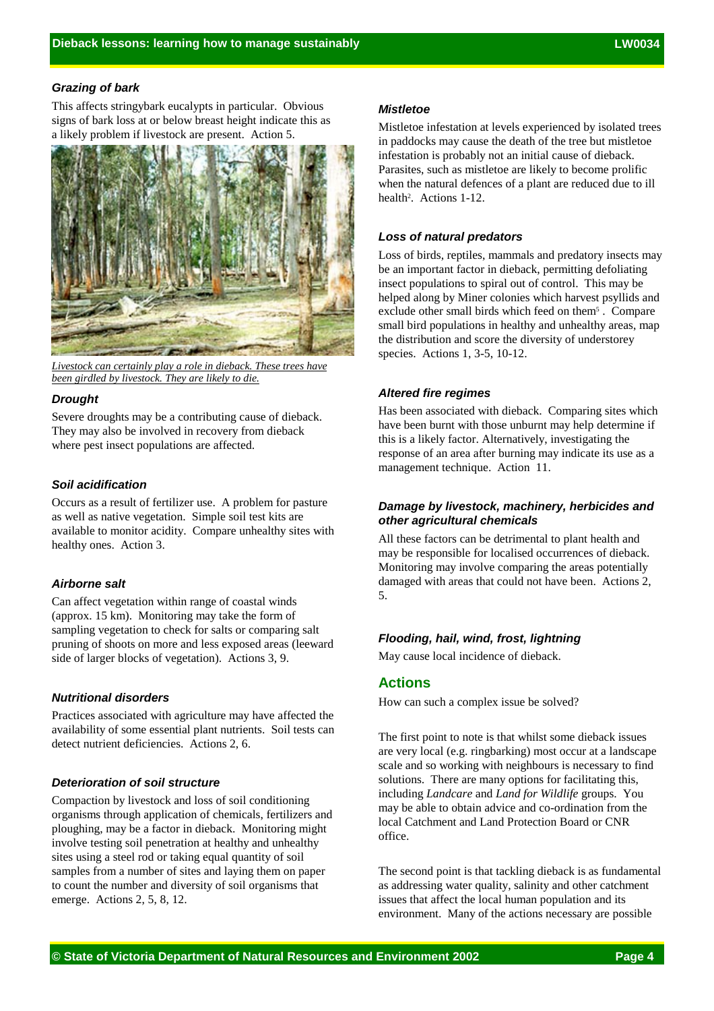#### *Grazing of bark*

This affects stringybark eucalypts in particular. Obvious signs of bark loss at or below breast height indicate this as a likely problem if livestock are present. Action 5.



*Livestock can certainly play a role in dieback. These trees have been girdled by livestock. They are likely to die.*

#### *Drought*

Severe droughts may be a contributing cause of dieback. They may also be involved in recovery from dieback where pest insect populations are affected.

#### *Soil acidification*

Occurs as a result of fertilizer use. A problem for pasture as well as native vegetation. Simple soil test kits are available to monitor acidity. Compare unhealthy sites with healthy ones. Action 3.

#### *Airborne salt*

Can affect vegetation within range of coastal winds (approx. 15 km). Monitoring may take the form of sampling vegetation to check for salts or comparing salt pruning of shoots on more and less exposed areas (leeward side of larger blocks of vegetation). Actions 3, 9.

#### *Nutritional disorders*

Practices associated with agriculture may have affected the availability of some essential plant nutrients. Soil tests can detect nutrient deficiencies. Actions 2, 6.

## *Deterioration of soil structure*

Compaction by livestock and loss of soil conditioning organisms through application of chemicals, fertilizers and ploughing, may be a factor in dieback. Monitoring might involve testing soil penetration at healthy and unhealthy sites using a steel rod or taking equal quantity of soil samples from a number of sites and laying them on paper to count the number and diversity of soil organisms that emerge. Actions 2, 5, 8, 12.

#### *Mistletoe*

Mistletoe infestation at levels experienced by isolated trees in paddocks may cause the death of the tree but mistletoe infestation is probably not an initial cause of dieback. Parasites, such as mistletoe are likely to become prolific when the natural defences of a plant are reduced due to ill health<sup>2</sup>. Actions 1-12.

### *Loss of natural predators*

Loss of birds, reptiles, mammals and predatory insects may be an important factor in dieback, permitting defoliating insect populations to spiral out of control. This may be helped along by Miner colonies which harvest psyllids and exclude other small birds which feed on them<sup>5</sup>. Compare small bird populations in healthy and unhealthy areas, map the distribution and score the diversity of understorey species. Actions 1, 3-5, 10-12.

#### *Altered fire regimes*

Has been associated with dieback. Comparing sites which have been burnt with those unburnt may help determine if this is a likely factor. Alternatively, investigating the response of an area after burning may indicate its use as a management technique. Action 11.

# *Damage by livestock, machinery, herbicides and other agricultural chemicals*

All these factors can be detrimental to plant health and may be responsible for localised occurrences of dieback. Monitoring may involve comparing the areas potentially damaged with areas that could not have been. Actions 2, 5.

#### *Flooding, hail, wind, frost, lightning*

May cause local incidence of dieback.

# **Actions**

How can such a complex issue be solved?

The first point to note is that whilst some dieback issues are very local (e.g. ringbarking) most occur at a landscape scale and so working with neighbours is necessary to find solutions. There are many options for facilitating this, including *Landcare* and *Land for Wildlife* groups. You may be able to obtain advice and co-ordination from the local Catchment and Land Protection Board or CNR office.

The second point is that tackling dieback is as fundamental as addressing water quality, salinity and other catchment issues that affect the local human population and its environment. Many of the actions necessary are possible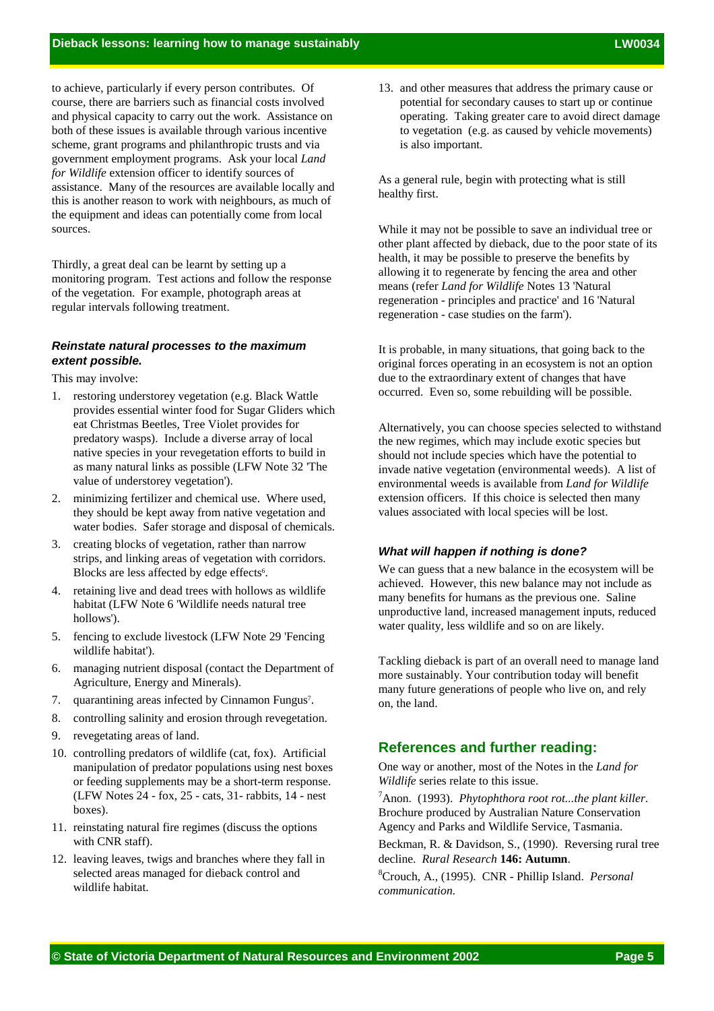to achieve, particularly if every person contributes. Of course, there are barriers such as financial costs involved and physical capacity to carry out the work. Assistance on both of these issues is available through various incentive scheme, grant programs and philanthropic trusts and via government employment programs. Ask your local *Land for Wildlife* extension officer to identify sources of assistance. Many of the resources are available locally and this is another reason to work with neighbours, as much of the equipment and ideas can potentially come from local sources.

Thirdly, a great deal can be learnt by setting up a monitoring program. Test actions and follow the response of the vegetation. For example, photograph areas at regular intervals following treatment.

# *Reinstate natural processes to the maximum extent possible.*

This may involve:

- 1. restoring understorey vegetation (e.g. Black Wattle provides essential winter food for Sugar Gliders which eat Christmas Beetles, Tree Violet provides for predatory wasps). Include a diverse array of local native species in your revegetation efforts to build in as many natural links as possible (LFW Note 32 'The value of understorey vegetation').
- 2. minimizing fertilizer and chemical use. Where used, they should be kept away from native vegetation and water bodies. Safer storage and disposal of chemicals.
- 3. creating blocks of vegetation, rather than narrow strips, and linking areas of vegetation with corridors. Blocks are less affected by edge effects<sup>6</sup>.
- 4. retaining live and dead trees with hollows as wildlife habitat (LFW Note 6 'Wildlife needs natural tree hollows').
- 5. fencing to exclude livestock (LFW Note 29 'Fencing wildlife habitat').
- 6. managing nutrient disposal (contact the Department of Agriculture, Energy and Minerals).
- 7. quarantining areas infected by Cinnamon Fungus<sup>7</sup>.
- 8. controlling salinity and erosion through revegetation.
- 9. revegetating areas of land.
- 10. controlling predators of wildlife (cat, fox). Artificial manipulation of predator populations using nest boxes or feeding supplements may be a short-term response. (LFW Notes 24 - fox, 25 - cats, 31- rabbits, 14 - nest boxes).
- 11. reinstating natural fire regimes (discuss the options with CNR staff).
- 12. leaving leaves, twigs and branches where they fall in selected areas managed for dieback control and wildlife habitat.

13. and other measures that address the primary cause or potential for secondary causes to start up or continue operating. Taking greater care to avoid direct damage to vegetation (e.g. as caused by vehicle movements) is also important.

As a general rule, begin with protecting what is still healthy first.

While it may not be possible to save an individual tree or other plant affected by dieback, due to the poor state of its health, it may be possible to preserve the benefits by allowing it to regenerate by fencing the area and other means (refer *Land for Wildlife* Notes 13 'Natural regeneration - principles and practice' and 16 'Natural regeneration - case studies on the farm').

It is probable, in many situations, that going back to the original forces operating in an ecosystem is not an option due to the extraordinary extent of changes that have occurred. Even so, some rebuilding will be possible.

Alternatively, you can choose species selected to withstand the new regimes, which may include exotic species but should not include species which have the potential to invade native vegetation (environmental weeds). A list of environmental weeds is available from *Land for Wildlife* extension officers. If this choice is selected then many values associated with local species will be lost.

## *What will happen if nothing is done?*

We can guess that a new balance in the ecosystem will be achieved. However, this new balance may not include as many benefits for humans as the previous one. Saline unproductive land, increased management inputs, reduced water quality, less wildlife and so on are likely.

Tackling dieback is part of an overall need to manage land more sustainably. Your contribution today will benefit many future generations of people who live on, and rely on, the land.

# **References and further reading:**

One way or another, most of the Notes in the *Land for Wildlife* series relate to this issue.

7 Anon. (1993). *Phytophthora root rot...the plant killer*. Brochure produced by Australian Nature Conservation Agency and Parks and Wildlife Service, Tasmania.

Beckman, R. & Davidson, S., (1990). Reversing rural tree decline. *Rural Research* **146: Autumn**.

8 Crouch, A., (1995). CNR - Phillip Island. *Personal communication.*